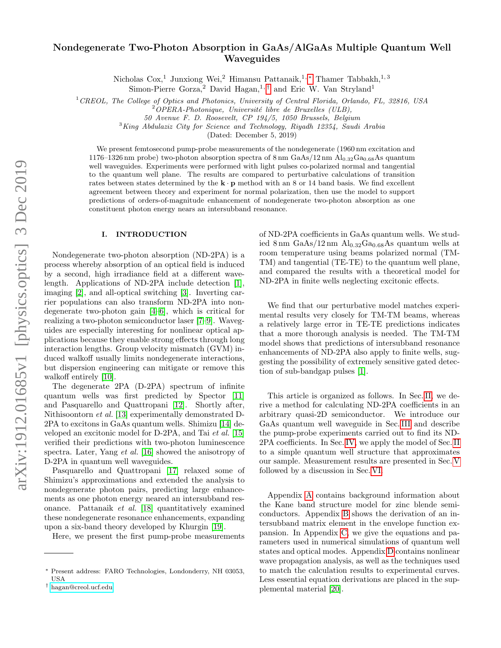# Nondegenerate Two-Photon Absorption in GaAs/AlGaAs Multiple Quantum Well Waveguides

Nicholas Cox,<sup>1</sup> Junxiong Wei,<sup>2</sup> Himansu Pattanaik,<sup>1,\*</sup> Thamer Tabbakh,<sup>1,3</sup>

Simon-Pierre Gorza,<sup>2</sup> David Hagan,<sup>1,[†](#page-0-1)</sup> and Eric W. Van Stryland<sup>1</sup>

<sup>1</sup> CREOL, The College of Optics and Photonics, University of Central Florida, Orlando, FL, 32816, USA

50 Avenue F. D. Roosevelt, CP 194/5, 1050 Brussels, Belgium

 $3$ King Abdulaziz City for Science and Technology, Riyadh 12354, Saudi Arabia

(Dated: December 5, 2019)

We present femtosecond pump-probe measurements of the nondegenerate  $(1960 \text{ nm excitation and})$ 1176–1326 nm probe) two-photon absorption spectra of  $8 \text{ nm}$  GaAs/12 nm  $\text{Al}_{0.32}\text{Ga}_{0.68}\text{As}$  quantum well waveguides. Experiments were performed with light pulses co-polarized normal and tangential to the quantum well plane. The results are compared to perturbative calculations of transition rates between states determined by the  $\mathbf{k} \cdot \mathbf{p}$  method with an 8 or 14 band basis. We find excellent agreement between theory and experiment for normal polarization, then use the model to support predictions of orders-of-magnitude enhancement of nondegenerate two-photon absorption as one constituent photon energy nears an intersubband resonance.

## I. INTRODUCTION

Nondegenerate two-photon absorption (ND-2PA) is a process whereby absorption of an optical field is induced by a second, high irradiance field at a different wavelength. Applications of ND-2PA include detection [\[1\]](#page-12-0), imaging [\[2\]](#page-12-1), and all-optical switching [\[3\]](#page-12-2). Inverting carrier populations can also transform ND-2PA into nondegenerate two-photon gain [\[4](#page-12-3)[–6\]](#page-12-4), which is critical for realizing a two-photon semiconductor laser [\[7–](#page-12-5)[9\]](#page-12-6). Waveguides are especially interesting for nonlinear optical applications because they enable strong effects through long interaction lengths. Group velocity mismatch (GVM) induced walkoff usually limits nondegenerate interactions, but dispersion engineering can mitigate or remove this walkoff entirely [\[10\]](#page-12-7).

The degenerate 2PA (D-2PA) spectrum of infinite quantum wells was first predicted by Spector [\[11\]](#page-12-8) and Pasquarello and Quattropani [\[12\]](#page-12-9). Shortly after, Nithisoontorn et al. [\[13\]](#page-12-10) experimentally demonstrated D-2PA to excitons in GaAs quantum wells. Shimizu [\[14\]](#page-12-11) developed an excitonic model for D-2PA, and Tai et al. [\[15\]](#page-12-12) verified their predictions with two-photon luminescence spectra. Later, Yang et al. [\[16\]](#page-12-13) showed the anisotropy of D-2PA in quantum well waveguides.

Pasquarello and Quattropani [\[17\]](#page-12-14) relaxed some of Shimizu's approximations and extended the analysis to nondegenerate photon pairs, predicting large enhancements as one photon energy neared an intersubband resonance. Pattanaik et al. [\[18\]](#page-12-15) quantitatively examined these nondegenerate resonance enhancements, expanding upon a six-band theory developed by Khurgin [\[19\]](#page-12-16).

Here, we present the first pump-probe measurements

of ND-2PA coefficients in GaAs quantum wells. We studied 8 nm  $GaAs/12$  nm  $Al_{0.32}Ga_{0.68}As$  quantum wells at room temperature using beams polarized normal (TM-TM) and tangential (TE-TE) to the quantum well plane, and compared the results with a theoretical model for ND-2PA in finite wells neglecting excitonic effects.

We find that our perturbative model matches experimental results very closely for TM-TM beams, whereas a relatively large error in TE-TE predictions indicates that a more thorough analysis is needed. The TM-TM model shows that predictions of intersubband resonance enhancements of ND-2PA also apply to finite wells, suggesting the possibility of extremely sensitive gated detection of sub-bandgap pulses [\[1\]](#page-12-0).

This article is organized as follows. In Sec. [II,](#page-1-0) we derive a method for calculating ND-2PA coefficients in an arbitrary quasi-2D semiconductor. We introduce our GaAs quantum well waveguide in Sec. [III](#page-1-1) and describe the pump-probe experiments carried out to find its ND-2PA coefficients. In Sec. [IV,](#page-2-0) we apply the model of Sec. [II](#page-1-0) to a simple quantum well structure that approximates our sample. Measurement results are presented in Sec. [V](#page-6-0) followed by a discussion in Sec. [VI.](#page-6-1)

Appendix [A](#page-8-0) contains background information about the Kane band structure model for zinc blende semiconductors. Appendix [B](#page-8-1) shows the derivation of an intersubband matrix element in the envelope function expansion. In Appendix [C,](#page-9-0) we give the equations and parameters used in numerical simulations of quantum well states and optical modes. Appendix [D](#page-10-0) contains nonlinear wave propagation analysis, as well as the techniques used to match the calculation results to experimental curves. Less essential equation derivations are placed in the supplemental material [\[20\]](#page-12-17).

 $2^2$ OPERA-Photonique, Université libre de Bruxelles (ULB),

<span id="page-0-0"></span><sup>∗</sup> Present address: FARO Technologies, Londonderry, NH 03053, USA

<span id="page-0-1"></span><sup>†</sup> [hagan@creol.ucf.edu](mailto:hagan@creol.ucf.edu)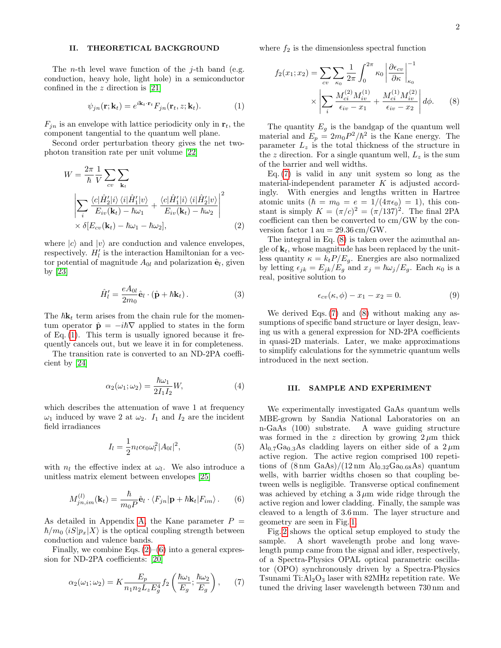## <span id="page-1-0"></span>II. THEORETICAL BACKGROUND

The *n*-th level wave function of the *j*-th band (e.g. conduction, heavy hole, light hole) in a semiconductor confined in the z direction is [\[21\]](#page-12-18)

<span id="page-1-2"></span>
$$
\psi_{jn}(\mathbf{r}; \mathbf{k}_t) = e^{i\mathbf{k}_t \cdot \mathbf{r}_t} F_{jn}(\mathbf{r}_t, z; \mathbf{k}_t).
$$
 (1)

 $F_{in}$  is an envelope with lattice periodicity only in  $r_t$ , the component tangential to the quantum well plane.

Second order perturbation theory gives the net twophoton transition rate per unit volume [\[22\]](#page-12-19)

$$
W = \frac{2\pi}{\hbar} \frac{1}{V} \sum_{cv} \sum_{\mathbf{k}_t} \left[ \sum_{\hat{i} \in \hat{H}_2^{\prime} \setminus \{i\}} \frac{\langle c | \hat{H}_2^{\prime} | i \rangle \langle i | \hat{H}_1^{\prime} | v \rangle}{E_{iv}(\mathbf{k}_t) - \hbar \omega_1} + \frac{\langle c | \hat{H}_1^{\prime} | i \rangle \langle i | \hat{H}_2^{\prime} | v \rangle}{E_{iv}(\mathbf{k}_t) - \hbar \omega_2} \right|^2 \times \delta[E_{cv}(\mathbf{k}_t) - \hbar \omega_1 - \hbar \omega_2], \tag{2}
$$

where  $|c\rangle$  and  $|v\rangle$  are conduction and valence envelopes, respectively.  $H'_l$  is the interaction Hamiltonian for a vector potential of magnitude  $A_{0l}$  and polarization  $\hat{\mathbf{e}}_l$ , given by [\[23\]](#page-12-20)

$$
\hat{H}'_l = \frac{eA_{0l}}{2m_0} \hat{\mathbf{e}}_l \cdot (\hat{\mathbf{p}} + \hbar \mathbf{k}_t).
$$
 (3)

The  $\hbar k_t$  term arises from the chain rule for the momentum operator  $\hat{\mathbf{p}} = -i\hbar \nabla$  applied to states in the form of Eq. [\(1\)](#page-1-2). This term is usually ignored because it frequently cancels out, but we leave it in for completeness.

The transition rate is converted to an ND-2PA coefficient by [\[24\]](#page-12-21)

$$
\alpha_2(\omega_1; \omega_2) = \frac{\hbar \omega_1}{2I_1 I_2} W,\tag{4}
$$

which describes the attenuation of wave 1 at frequency  $\omega_1$  induced by wave 2 at  $\omega_2$ .  $I_1$  and  $I_2$  are the incident field irradiances

$$
I_l = \frac{1}{2} n_l c \epsilon_0 \omega_l^2 |A_{0l}|^2, \qquad (5)
$$

with  $n_l$  the effective index at  $\omega_l$ . We also introduce a unitless matrix element between envelopes [\[25\]](#page-12-22)

<span id="page-1-4"></span>
$$
M_{jn,im}^{(l)}(\mathbf{k}_t) = \frac{\hbar}{m_0 P} \hat{\mathbf{e}}_l \cdot \langle F_{jn} | \mathbf{p} + \hbar \mathbf{k}_t | F_{im} \rangle. \qquad (6)
$$

As detailed in Appendix [A,](#page-8-0) the Kane parameter  $P =$  $\hbar/m_0 \langle iS|p_x|X\rangle$  is the optical coupling strength between conduction and valence bands.

Finally, we combine Eqs.  $(2)$ – $(6)$  into a general expression for ND-2PA coefficients: [\[20\]](#page-12-17)

<span id="page-1-5"></span>
$$
\alpha_2(\omega_1; \omega_2) = K \frac{E_p}{n_1 n_2 L_z E_g^4} f_2 \left( \frac{\hbar \omega_1}{E_g}; \frac{\hbar \omega_2}{E_g} \right), \qquad (7)
$$

where  $f_2$  is the dimensionless spectral function

<span id="page-1-6"></span>
$$
f_2(x_1; x_2) = \sum_{cv} \sum_{\kappa_0} \frac{1}{2\pi} \int_0^{2\pi} \kappa_0 \left| \frac{\partial \epsilon_{cv}}{\partial \kappa} \right|_{\kappa_0}^{-1}
$$

$$
\times \left| \sum_i \frac{M_{ci}^{(2)} M_{iv}^{(1)}}{\epsilon_{iv} - x_1} + \frac{M_{ci}^{(1)} M_{iv}^{(2)}}{\epsilon_{iv} - x_2} \right| d\phi. \tag{8}
$$

The quantity  $E_g$  is the bandgap of the quantum well material and  $E_p = 2m_0 P^2/\hbar^2$  is the Kane energy. The parameter  $L_z$  is the total thickness of the structure in the z direction. For a single quantum well,  $L_z$  is the sum of the barrier and well widths.

Eq. [\(7\)](#page-1-5) is valid in any unit system so long as the material-independent parameter  $K$  is adjusted accordingly. With energies and lengths written in Hartree atomic units  $(\hbar = m_0 = e = 1/(4\pi\epsilon_0) = 1)$ , this constant is simply  $K = (\pi/c)^2 = (\pi/137)^2$ . The final 2PA coefficient can then be converted to cm/GW by the conversion factor  $1 \text{ au} = 29.36 \text{ cm/GW}$ .

<span id="page-1-3"></span>The integral in Eq. [\(8\)](#page-1-6) is taken over the azimuthal angle of  $\mathbf{k}_t$ , whose magnitude has been replaced by the unitless quantity  $\kappa = k_t P/E_q$ . Energies are also normalized by letting  $\epsilon_{jk} = E_{jk}/E_g$  and  $x_j = \hbar \omega_j/E_g$ . Each  $\kappa_0$  is a real, positive solution to

<span id="page-1-7"></span>
$$
\epsilon_{cv}(\kappa,\phi) - x_1 - x_2 = 0. \tag{9}
$$

We derived Eqs. [\(7\)](#page-1-5) and [\(8\)](#page-1-6) without making any assumptions of specific band structure or layer design, leaving us with a general expression for ND-2PA coefficients in quasi-2D materials. Later, we make approximations to simplify calculations for the symmetric quantum wells introduced in the next section.

## <span id="page-1-1"></span>III. SAMPLE AND EXPERIMENT

We experimentally investigated GaAs quantum wells MBE-grown by Sandia National Laboratories on an n-GaAs (100) substrate. A wave guiding structure was formed in the z direction by growing  $2 \mu m$  thick  $\text{Al}_{0.7}\text{Ga}_{0.3}\text{As}$  cladding layers on either side of a  $2 \mu \text{m}$ active region. The active region comprised 100 repetitions of  $(8 \text{ nm } GaAs)/(12 \text{ nm } Al_{0.32}Ga_{0.68}As)$  quantum wells, with barrier widths chosen so that coupling between wells is negligible. Transverse optical confinement was achieved by etching a  $3 \mu m$  wide ridge through the active region and lower cladding. Finally, the sample was cleaved to a length of 3.6 mm. The layer structure and geometry are seen in Fig. [1.](#page-2-1)

Fig. [2](#page-2-2) shows the optical setup employed to study the sample. A short wavelength probe and long wavelength pump came from the signal and idler, respectively, of a Spectra-Physics OPAL optical parametric oscillator (OPO) synchronously driven by a Spectra-Physics Tsunami Ti: $Al_2O_3$  laser with 82MHz repetition rate. We tuned the driving laser wavelength between 730 nm and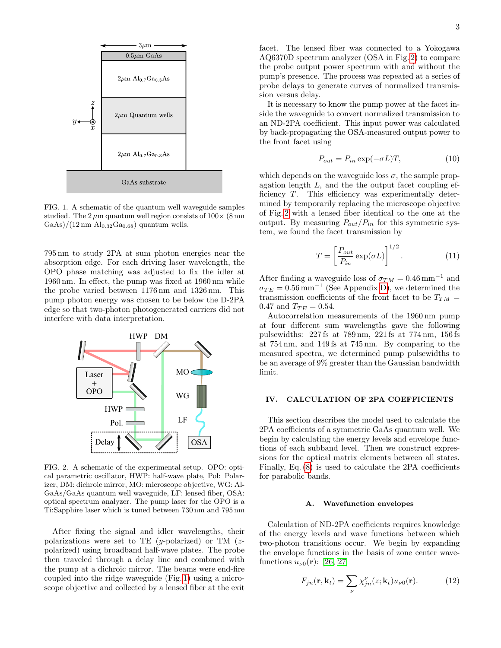

<span id="page-2-1"></span>FIG. 1. A schematic of the quantum well waveguide samples studied. The  $2 \mu m$  quantum well region consists of  $100 \times (8 \text{ nm})$  $\text{GaAs}/(12 \text{ nm } \text{Al}_{0.32}\text{Ga}_{0.68})$  quantum wells.

795 nm to study 2PA at sum photon energies near the absorption edge. For each driving laser wavelength, the OPO phase matching was adjusted to fix the idler at 1960 nm. In effect, the pump was fixed at 1960 nm while the probe varied between 1176 nm and 1326 nm. This pump photon energy was chosen to be below the D-2PA edge so that two-photon photogenerated carriers did not interfere with data interpretation.



<span id="page-2-2"></span>FIG. 2. A schematic of the experimental setup. OPO: optical parametric oscillator, HWP: half-wave plate, Pol: Polarizer, DM: dichroic mirror, MO: microscope objective, WG: Al-GaAs/GaAs quantum well waveguide, LF: lensed fiber, OSA: optical spectrum analyzer. The pump laser for the OPO is a Ti:Sapphire laser which is tuned between 730 nm and 795 nm

After fixing the signal and idler wavelengths, their polarizations were set to TE (y-polarized) or TM ( $z$ polarized) using broadband half-wave plates. The probe then traveled through a delay line and combined with the pump at a dichroic mirror. The beams were end-fire coupled into the ridge waveguide (Fig. [1\)](#page-2-1) using a microscope objective and collected by a lensed fiber at the exit

facet. The lensed fiber was connected to a Yokogawa AQ6370D spectrum analyzer (OSA in Fig. [2\)](#page-2-2) to compare the probe output power spectrum with and without the pump's presence. The process was repeated at a series of probe delays to generate curves of normalized transmission versus delay.

It is necessary to know the pump power at the facet inside the waveguide to convert normalized transmission to an ND-2PA coefficient. This input power was calculated by back-propagating the OSA-measured output power to the front facet using

$$
P_{out} = P_{in} \exp(-\sigma L)T, \qquad (10)
$$

which depends on the waveguide loss  $\sigma$ , the sample propagation length  $L$ , and the the output facet coupling efficiency T. This efficiency was experimentally determined by temporarily replacing the microscope objective of Fig. [2](#page-2-2) with a lensed fiber identical to the one at the output. By measuring  $P_{out}/P_{in}$  for this symmetric system, we found the facet transmission by

$$
T = \left[\frac{P_{out}}{P_{in}}\exp(\sigma L)\right]^{1/2}.\tag{11}
$$

After finding a waveguide loss of  $\sigma_{TM} = 0.46 \text{ mm}^{-1}$  and  $\sigma_{TE} = 0.56 \,\mathrm{mm}^{-1}$  (See Appendix [D\)](#page-11-0), we determined the transmission coefficients of the front facet to be  $T_{TM} =$ 0.47 and  $T_{TE} = 0.54$ .

Autocorrelation measurements of the 1960 nm pump at four different sum wavelengths gave the following pulsewidths: 227 fs at 789 nm, 221 fs at 774 nm, 156 fs at 754 nm, and 149 fs at 745 nm. By comparing to the measured spectra, we determined pump pulsewidths to be an average of 9% greater than the Gaussian bandwidth limit.

# <span id="page-2-0"></span>IV. CALCULATION OF 2PA COEFFICIENTS

This section describes the model used to calculate the 2PA coefficients of a symmetric GaAs quantum well. We begin by calculating the energy levels and envelope functions of each subband level. Then we construct expressions for the optical matrix elements between all states. Finally, Eq. [\(8\)](#page-1-6) is used to calculate the 2PA coefficients for parabolic bands.

# <span id="page-2-4"></span>A. Wavefunction envelopes

Calculation of ND-2PA coefficients requires knowledge of the energy levels and wave functions between which two-photon transitions occur. We begin by expanding the envelope functions in the basis of zone center wavefunctions  $u_{\nu 0}(\mathbf{r})$ : [\[26,](#page-12-23) [27\]](#page-12-24)

<span id="page-2-3"></span>
$$
F_{jn}(\mathbf{r}, \mathbf{k}_t) = \sum_{\nu} \chi_{jn}^{\nu}(z; \mathbf{k}_t) u_{\nu 0}(\mathbf{r}). \tag{12}
$$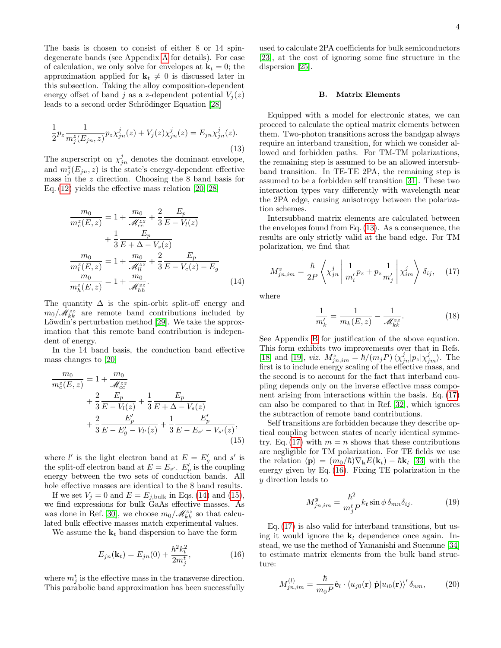The basis is chosen to consist of either 8 or 14 spindegenerate bands (see Appendix [A](#page-8-0) for details). For ease of calculation, we only solve for envelopes at  $\mathbf{k}_t = 0$ ; the approximation applied for  $\mathbf{k}_t \neq 0$  is discussed later in this subsection. Taking the alloy composition-dependent energy offset of band j as a z-dependent potential  $V_i(z)$ leads to a second order Schrödinger Equation [\[28\]](#page-12-25)

<span id="page-3-2"></span>
$$
\frac{1}{2}p_z \frac{1}{m_j^z(E_{jn}, z)} p_z \chi_{jn}^j(z) + V_j(z) \chi_{jn}^j(z) = E_{jn} \chi_{jn}^j(z).
$$
\n(13)

The superscript on  $\chi_{jn}^{j}$  denotes the dominant envelope, and  $m_j^z(E_{jn}, z)$  is the state's energy-dependent effective mass in the z direction. Choosing the 8 band basis for Eq. [\(12\)](#page-2-3) yields the effective mass relation [\[20,](#page-12-17) [28\]](#page-12-25)

$$
\frac{m_0}{m_c^z(E, z)} = 1 + \frac{m_0}{\mathcal{M}_{cc}^{zz}} + \frac{2}{3} \frac{E_p}{E - V_l(z)} \n+ \frac{1}{3} \frac{E_p}{E + \Delta - V_s(z)} \n\frac{m_0}{m_l^z(E, z)} = 1 + \frac{m_0}{\mathcal{M}_{ll}^{zz}} + \frac{2}{3} \frac{E_p}{E - V_c(z) - E_g} \n\frac{m_0}{m_h^z(E, z)} = 1 + \frac{m_0}{\mathcal{M}_{hh}^{zz}}.
$$
\n(14)

The quantity  $\Delta$  is the spin-orbit split-off energy and  $m_0/\mathcal{M}_{kk}^{zz}$  are remote band contributions included by Löwdin's perturbation method [\[29\]](#page-12-26). We take the approximation that this remote band contribution is independent of energy.

In the 14 band basis, the conduction band effective mass changes to [\[20\]](#page-12-17)

$$
\frac{m_0}{m_c^z(E, z)} = 1 + \frac{m_0}{\mathcal{M}_{cc}^{zz}} \n+ \frac{2}{3} \frac{E_p}{E - V_l(z)} + \frac{1}{3} \frac{E_p}{E + \Delta - V_s(z)} \n+ \frac{2}{3} \frac{E'_p}{E - E'_g - V_{l'}(z)} + \frac{1}{3} \frac{E'_p}{E - E_{s'} - V_{s'}(z)},
$$
\n(15)

where  $l'$  is the light electron band at  $E = E'_g$  and s' is the split-off electron band at  $E = E_{s'}$ .  $E'_{p}$  is the coupling energy between the two sets of conduction bands. All hole effective masses are identical to the 8 band results.

If we set  $V_j = 0$  and  $E = E_{j,\text{bulk}}$  in Eqs. [\(14\)](#page-3-0) and [\(15\)](#page-3-1), we find expressions for bulk GaAs effective masses. As was done in Ref. [\[30\]](#page-12-27), we choose  $m_0/\mathcal{M}_{kk}^{zz}$  so that calculated bulk effective masses match experimental values.

We assume the  $\mathbf{k}_t$  band dispersion to have the form

<span id="page-3-4"></span>
$$
E_{jn}(\mathbf{k}_t) = E_{jn}(0) + \frac{\hbar^2 k_t^2}{2m_j^t},
$$
\n(16)

where  $m_j^t$  is the effective mass in the transverse direction. This parabolic band approximation has been successfully used to calculate 2PA coefficients for bulk semiconductors [\[23\]](#page-12-20), at the cost of ignoring some fine structure in the dispersion [\[25\]](#page-12-22).

## B. Matrix Elements

Equipped with a model for electronic states, we can proceed to calculate the optical matrix elements between them. Two-photon transitions across the bandgap always require an interband transition, for which we consider allowed and forbidden paths. For TM-TM polarizations, the remaining step is assumed to be an allowed intersubband transition. In TE-TE 2PA, the remaining step is assumed to be a forbidden self transition [\[31\]](#page-12-28). These two interaction types vary differently with wavelength near the 2PA edge, causing anisotropy between the polarization schemes.

Intersubband matrix elements are calculated between the envelopes found from Eq. [\(13\)](#page-3-2). As a consequence, the results are only strictly valid at the band edge. For TM polarization, we find that

<span id="page-3-3"></span>
$$
M_{jn,im}^{z} = \frac{\hbar}{2P} \left\langle \chi_{jn}^{j} \left| \frac{1}{m_{i}^{\prime}} p_{z} + p_{z} \frac{1}{m_{j}^{\prime}} \right| \chi_{im}^{j} \right\rangle \delta_{ij}, \quad (17)
$$

<span id="page-3-0"></span>where

$$
\frac{1}{m'_k} = \frac{1}{m_k(E, z)} - \frac{1}{\mathcal{M}_{kk}^{zz}}.\tag{18}
$$

See Appendix [B](#page-8-1) for justification of the above equation. This form exhibits two improvements over that in Refs. [\[18\]](#page-12-15) and [\[19\]](#page-12-16), *viz.*  $M_{jn,im}^z = \hbar/(m_j P) \langle \chi_{jn}^j | p_z | \chi_{jm}^j \rangle$ . The first is to include energy scaling of the effective mass, and the second is to account for the fact that interband coupling depends only on the inverse effective mass component arising from interactions within the basis. Eq. [\(17\)](#page-3-3) can also be compared to that in Ref. [\[32\]](#page-12-29), which ignores the subtraction of remote band contributions.

<span id="page-3-1"></span>Self transitions are forbidden because they describe optical coupling between states of nearly identical symme-try. Eq. [\(17\)](#page-3-3) with  $m = n$  shows that these contributions are negligible for TM polarization. For TE fields we use the relation  $\langle \mathbf{p} \rangle = (m_0/\hbar) \nabla_{\mathbf{k}} E(\mathbf{k}_t) - \hbar \mathbf{k}_t$  [\[33\]](#page-12-30) with the energy given by Eq. [\(16\)](#page-3-4). Fixing TE polarization in the y direction leads to

$$
M_{jn,im}^y = \frac{\hbar^2}{m_j^t P} k_t \sin \phi \, \delta_{mn} \delta_{ij}.
$$
 (19)

Eq. [\(17\)](#page-3-3) is also valid for interband transitions, but using it would ignore the  $\mathbf{k}_t$  dependence once again. Instead, we use the method of Yamanishi and Suemune [\[34\]](#page-12-31) to estimate matrix elements from the bulk band structure:

<span id="page-3-5"></span>
$$
M_{jn,im}^{(l)} = \frac{\hbar}{m_0 P} \hat{\mathbf{e}}_l \cdot \langle u_{j0}(\mathbf{r}) | \hat{\mathbf{p}} | u_{i0}(\mathbf{r}) \rangle' \delta_{nm}, \qquad (20)
$$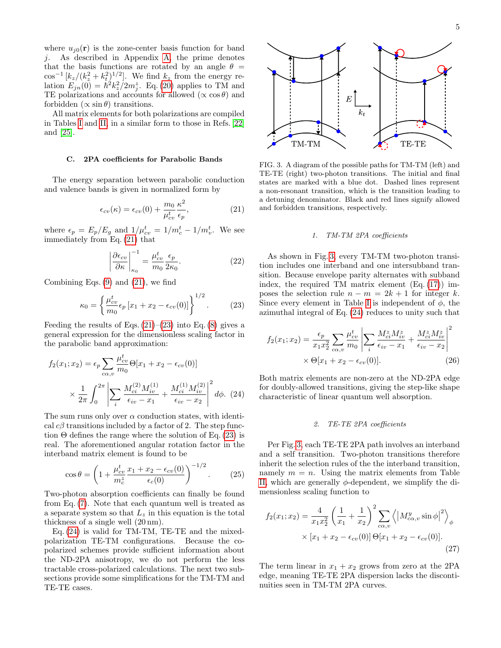where  $u_{i0}(\mathbf{r})$  is the zone-center basis function for band j. As described in Appendix [A,](#page-8-0) the prime denotes that the basis functions are rotated by an angle  $\theta =$  $\cos^{-1}\left[k_z/(k_z^2+k_t^2)^{1/2}\right]$ . We find  $k_z$  from the energy relation  $E_{jn}(\tilde{0}) = \hbar^2 k_z^2 / 2m_j^2$ . Eq. [\(20\)](#page-3-5) applies to TM and TE polarizations and accounts for allowed  $(\propto \cos \theta)$  and forbidden  $(\propto \sin \theta)$  transitions.

All matrix elements for both polarizations are compiled in Tables [I](#page-5-0) and [II,](#page-5-1) in a similar form to those in Refs. [\[22\]](#page-12-19) and [\[25\]](#page-12-22).

## C. 2PA coefficients for Parabolic Bands

The energy separation between parabolic conduction and valence bands is given in normalized form by

<span id="page-4-0"></span>
$$
\epsilon_{cv}(\kappa) = \epsilon_{cv}(0) + \frac{m_0}{\mu_{cv}^t} \frac{\kappa^2}{\epsilon_p},\tag{21}
$$

where  $\epsilon_p = E_p/E_g$  and  $1/\mu_{cv}^t = 1/m_c^t - 1/m_v^t$ . We see immediately from Eq. [\(21\)](#page-4-0) that

$$
\left| \frac{\partial \epsilon_{cv}}{\partial \kappa} \right|_{\kappa_0}^{-1} = \frac{\mu_{cv}^t}{m_0} \frac{\epsilon_p}{2\kappa_0}.
$$
 (22)

Combining Eqs.  $(9)$  and  $(21)$ , we find

<span id="page-4-1"></span>
$$
\kappa_0 = \left\{ \frac{\mu_{cv}^t}{m_0} \epsilon_p \left[ x_1 + x_2 - \epsilon_{cv}(0) \right] \right\}^{1/2}.
$$
 (23)

Feeding the results of Eqs.  $(21)–(23)$  $(21)–(23)$  $(21)–(23)$  into Eq.  $(8)$  gives a general expression for the dimensionless scaling factor in the parabolic band approximation:

$$
f_2(x_1; x_2) = \epsilon_p \sum_{c \alpha, v} \frac{\mu_{cv}^t}{m_0} \Theta[x_1 + x_2 - \epsilon_{cv}(0)]
$$

$$
\times \frac{1}{2\pi} \int_0^{2\pi} \left| \sum_i \frac{M_{ci}^{(2)} M_{iv}^{(1)}}{\epsilon_{iv} - x_1} + \frac{M_{ci}^{(1)} M_{iv}^{(2)}}{\epsilon_{iv} - x_2} \right|^2 d\phi. (24)
$$

The sum runs only over  $\alpha$  conduction states, with identical  $c\beta$  transitions included by a factor of 2. The step function  $\Theta$  defines the range where the solution of Eq. [\(23\)](#page-4-1) is real. The aforementioned angular rotation factor in the interband matrix element is found to be

$$
\cos \theta = \left( 1 + \frac{\mu_{cv}^t}{m_c^z} \frac{x_1 + x_2 - \epsilon_{cv}(0)}{\epsilon_c(0)} \right)^{-1/2}.
$$
 (25)

Two-photon absorption coefficients can finally be found from Eq. [\(7\)](#page-1-5). Note that each quantum well is treated as a separate system so that  $L_z$  in this equation is the total thickness of a single well (20 nm).

Eq. [\(24\)](#page-4-2) is valid for TM-TM, TE-TE and the mixedpolarization TE-TM configurations. Because the copolarized schemes provide sufficient information about the ND-2PA anisotropy, we do not perform the less tractable cross-polarized calculations. The next two subsections provide some simplifications for the TM-TM and TE-TE cases.



<span id="page-4-3"></span>FIG. 3. A diagram of the possible paths for TM-TM (left) and TE-TE (right) two-photon transitions. The initial and final states are marked with a blue dot. Dashed lines represent a non-resonant transition, which is the transition leading to a detuning denominator. Black and red lines signify allowed and forbidden transitions, respectively.

#### 1. TM-TM 2PA coefficients

As shown in Fig. [3,](#page-4-3) every TM-TM two-photon transition includes one interband and one intersubband transition. Because envelope parity alternates with subband index, the required TM matrix element  $(Eq. (17))$  $(Eq. (17))$  $(Eq. (17))$  imposes the selection rule  $n - m = 2k + 1$  for integer k. Since every element in Table [I](#page-5-0) is independent of  $\phi$ , the azimuthal integral of Eq. [\(24\)](#page-4-2) reduces to unity such that

$$
f_2(x_1; x_2) = \frac{\epsilon_p}{x_1 x_2^2} \sum_{c \alpha, v} \frac{\mu_{cv}^t}{m_0} \left| \sum_i \frac{M_{ci}^z M_{iv}^z}{\epsilon_{iv} - x_1} + \frac{M_{ci}^z M_{iv}^z}{\epsilon_{iv} - x_2} \right|^2
$$
  
 
$$
\times \Theta[x_1 + x_2 - \epsilon_{cv}(0)]. \tag{26}
$$

<span id="page-4-2"></span>Both matrix elements are non-zero at the ND-2PA edge for doubly-allowed transitions, giving the step-like shape characteristic of linear quantum well absorption.

# 2. TE-TE 2PA coefficients

Per Fig. [3,](#page-4-3) each TE-TE 2PA path involves an interband and a self transition. Two-photon transitions therefore inherit the selection rules of the the interband transition, namely  $m = n$ . Using the matrix elements from Table [II,](#page-5-1) which are generally  $\phi$ -dependent, we simplify the dimensionless scaling function to

$$
f_2(x_1; x_2) = \frac{4}{x_1 x_2^2} \left(\frac{1}{x_1} + \frac{1}{x_2}\right)^2 \sum_{c \alpha, v} \left\langle \left|M_{c \alpha, v}^y \sin \phi \right|^2 \right\rangle_{\phi}
$$
  
 
$$
\times [x_1 + x_2 - \epsilon_{cv}(0)] \Theta[x_1 + x_2 - \epsilon_{cv}(0)]. \tag{27}
$$

The term linear in  $x_1 + x_2$  grows from zero at the 2PA edge, meaning TE-TE 2PA dispersion lacks the discontinuities seen in TM-TM 2PA curves.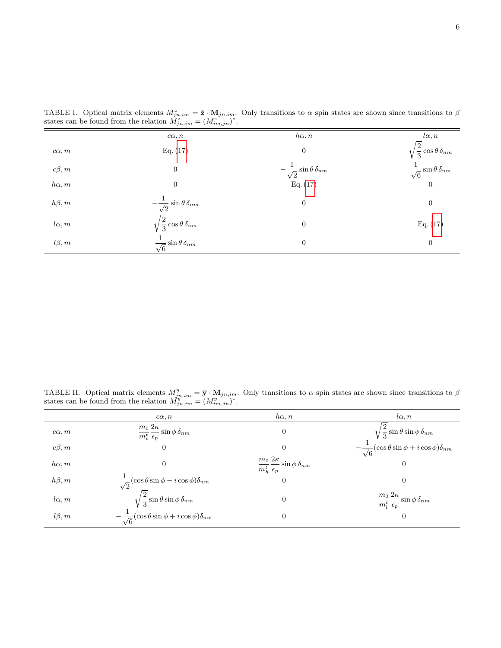|              | $c\alpha, n$                                 | $h\alpha, n$                                 | $l\alpha, n$                                |
|--------------|----------------------------------------------|----------------------------------------------|---------------------------------------------|
| $c\alpha, m$ | Eq. (17)                                     | $\boldsymbol{0}$                             | $\sqrt{\frac{2}{3}}\cos\theta\,\delta_{nm}$ |
| $c\beta,m$   | $\boldsymbol{0}$                             | $-\frac{1}{\sqrt{2}}\sin\theta\,\delta_{nm}$ | $\frac{1}{\sqrt{6}}\sin\theta\,\delta_{nm}$ |
| $h\alpha, m$ | $\theta$                                     | Eq. (17)                                     | $\overline{0}$                              |
| $h\beta, m$  | $-\frac{1}{\sqrt{2}}\sin\theta\,\delta_{nm}$ | $\boldsymbol{0}$                             | $\mathbf{0}$                                |
| $l\alpha, m$ | $\sqrt{\frac{2}{3}}\cos\theta\,\delta_{nm}$  | $\boldsymbol{0}$                             | Eq. (17)                                    |
| $l\beta,m$   | $\frac{1}{\sqrt{6}}\sin\theta\,\delta_{nm}$  | $\boldsymbol{0}$                             | $\boldsymbol{0}$                            |

<span id="page-5-0"></span>TABLE I. Optical matrix elements  $M_{jn,im}^z = \hat{\mathbf{z}} \cdot \mathbf{M}_{jn,im}$ . Only transitions to  $\alpha$  spin states are shown since transitions to  $\beta$ states can be found from the relation  $\tilde{M}_{jn,im}^z = (M_{im,jn}^z)^*$ .

<span id="page-5-1"></span>TABLE II. Optical matrix elements  $M_{jn,im}^y = \hat{\mathbf{y}} \cdot \mathbf{M}_{jn,im}$ . Only transitions to  $\alpha$  spin states are shown since transitions to  $\beta$ states can be found from the relation  $M_{jn,im}^{y^{\text{w}}=m} = (M_{im,jn}^{y^{\text{w}}})^*$ .

|              | $c\alpha, n$                                                           | $h\alpha, n$                                                       | $l\alpha, n$                                                                                                          |
|--------------|------------------------------------------------------------------------|--------------------------------------------------------------------|-----------------------------------------------------------------------------------------------------------------------|
| $c\alpha, m$ | $\frac{m_0}{m_c^t} \frac{2\kappa}{\epsilon_p} \sin\phi \, \delta_{nm}$ | $\theta$                                                           | $\sqrt{\frac{2}{3}}\sin\theta\sin\phi\,\delta_{nm}$<br>$-\frac{1}{\sqrt{6}}(\cos\theta\sin\phi+i\cos\phi)\delta_{nm}$ |
| $c\beta, m$  | $\theta$                                                               | $\Omega$                                                           |                                                                                                                       |
| $h\alpha, m$ | $\theta$                                                               | $\frac{m_0}{m_h^t}\frac{2\kappa}{\epsilon_p}\sin\phi\,\delta_{nm}$ | 0                                                                                                                     |
| $h\beta, m$  | $\frac{1}{\sqrt{2}}(\cos\theta\sin\phi - i\cos\phi)\delta_{nm}$        | $\theta$                                                           | 0                                                                                                                     |
| $l\alpha, m$ | $\sqrt{\frac{2}{3}}\sin\theta\sin\phi\,\delta_{nm}$                    | $\overline{0}$                                                     | $\frac{m_0}{m_l^t}\frac{2\kappa}{\epsilon_p}\sin\phi\,\delta_{nm}$                                                    |
| $l\beta, m$  | $-\frac{1}{\sqrt{6}}(\cos\theta\sin\phi+i\cos\phi)\delta_{nm}$         | $\theta$                                                           | $\overline{0}$                                                                                                        |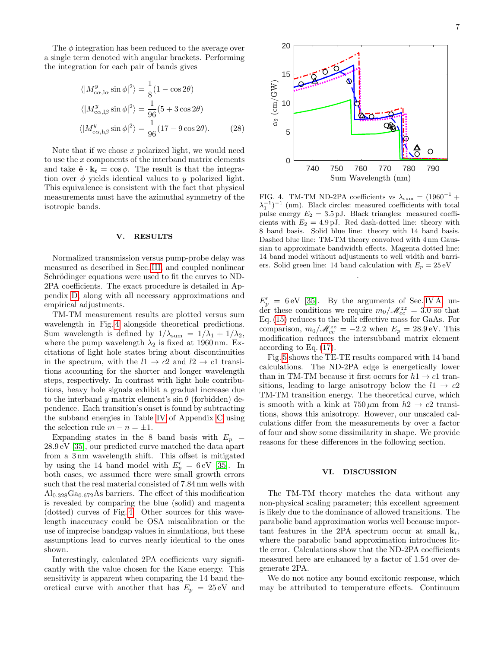The  $\phi$  integration has been reduced to the average over a single term denoted with angular brackets. Performing the integration for each pair of bands gives

$$
\langle |M^y_{c\alpha,\mathrm{l}\alpha} \sin \phi|^2 \rangle = \frac{1}{8} (1 - \cos 2\theta)
$$
  

$$
\langle |M^y_{c\alpha,\mathrm{l}\beta} \sin \phi|^2 \rangle = \frac{1}{96} (5 + 3 \cos 2\theta)
$$
  

$$
\langle |M^y_{c\alpha,\mathrm{h}\beta} \sin \phi|^2 \rangle = \frac{1}{96} (17 - 9 \cos 2\theta).
$$
 (28)

Note that if we chose  $x$  polarized light, we would need to use the x components of the interband matrix elements and take  $\hat{\mathbf{e}} \cdot \mathbf{k}_t = \cos \phi$ . The result is that the integration over  $\phi$  yields identical values to y polarized light. This equivalence is consistent with the fact that physical measurements must have the azimuthal symmetry of the isotropic bands.

## <span id="page-6-0"></span>V. RESULTS

Normalized transmission versus pump-probe delay was measured as described in Sec. [III,](#page-1-1) and coupled nonlinear Schrödinger equations were used to fit the curves to ND-2PA coefficients. The exact procedure is detailed in Appendix [D,](#page-10-0) along with all necessary approximations and empirical adjustments.

TM-TM measurement results are plotted versus sum wavelength in Fig. [4](#page-6-2) alongside theoretical predictions. Sum wavelength is defined by  $1/\lambda_{\text{sum}} = 1/\lambda_1 + 1/\lambda_2$ , where the pump wavelength  $\lambda_2$  is fixed at 1960 nm. Excitations of light hole states bring about discontinuities in the spectrum, with the  $l1 \rightarrow c2$  and  $l2 \rightarrow c1$  transitions accounting for the shorter and longer wavelength steps, respectively. In contrast with light hole contributions, heavy hole signals exhibit a gradual increase due to the interband y matrix element's  $\sin \theta$  (forbidden) dependence. Each transition's onset is found by subtracting the subband energies in Table [IV](#page-10-1) of Appendix [C](#page-9-0) using the selection rule  $m - n = \pm 1$ .

Expanding states in the 8 band basis with  $E_p =$ 28.9 eV [\[35\]](#page-12-32), our predicted curve matched the data apart from a 3 nm wavelength shift. This offset is mitigated by using the 14 band model with  $E_p' = 6 \,\text{eV}$  [\[35\]](#page-12-32). In both cases, we assumed there were small growth errors such that the real material consisted of 7.84 nm wells with  $\text{Al}_{0.328}\text{Ga}_{0.672}\text{As barriers}$ . The effect of this modification is revealed by comparing the blue (solid) and magenta (dotted) curves of Fig. [4.](#page-6-2) Other sources for this wavelength inaccuracy could be OSA miscalibration or the use of imprecise bandgap values in simulations, but these assumptions lead to curves nearly identical to the ones shown.

Interestingly, calculated 2PA coefficients vary significantly with the value chosen for the Kane energy. This sensitivity is apparent when comparing the 14 band theoretical curve with another that has  $E_p = 25 \text{ eV}$  and



<span id="page-6-2"></span>FIG. 4. TM-TM ND-2PA coefficients vs  $\lambda_{\text{sum}} = (1960^{-1} +$  $(\lambda_1^{-1})^{-1}$  (nm). Black circles: measured coefficients with total pulse energy  $E_2 = 3.5 \text{ pJ}$ . Black triangles: measured coefficients with  $E_2 = 4.9 \text{ pJ}$ . Red dash-dotted line: theory with 8 band basis. Solid blue line: theory with 14 band basis. Dashed blue line: TM-TM theory convolved with 4 nm Gaussian to approximate bandwidth effects. Magenta dotted line: 14 band model without adjustments to well width and barriers. Solid green line: 14 band calculation with  $E_p = 25 \text{ eV}$ 

.

 $E_p' = 6 \,\text{eV}$  [\[35\]](#page-12-32). By the arguments of Sec. [IV A,](#page-2-4) under these conditions we require  $m_0/\mathcal{M}_{cc}^{zz} = 3.0$  so that Eq. [\(15\)](#page-3-1) reduces to the bulk effective mass for GaAs. For comparison,  $m_0/\mathcal{M}_{cc}^{zz} = -2.2$  when  $E_p = 28.9 \,\text{eV}$ . This modification reduces the intersubband matrix element according to Eq. [\(17\)](#page-3-3).

Fig. [5](#page-7-0) shows the TE-TE results compared with 14 band calculations. The ND-2PA edge is energetically lower than in TM-TM because it first occurs for  $h1 \rightarrow c1$  transitions, leading to large anisotropy below the  $l1 \rightarrow c2$ TM-TM transition energy. The theoretical curve, which is smooth with a kink at  $750 \,\mu \text{m}$  from  $h2 \rightarrow c2$  transitions, shows this anisotropy. However, our unscaled calculations differ from the measurements by over a factor of four and show some dissimilarity in shape. We provide reasons for these differences in the following section.

## <span id="page-6-1"></span>VI. DISCUSSION

The TM-TM theory matches the data without any non-physical scaling parameter; this excellent agreement is likely due to the dominance of allowed transitions. The parabolic band approximation works well because important features in the 2PA spectrum occur at small  $\mathbf{k}_t$ , where the parabolic band approximation introduces little error. Calculations show that the ND-2PA coefficients measured here are enhanced by a factor of 1.54 over degenerate 2PA.

We do not notice any bound excitonic response, which may be attributed to temperature effects. Continuum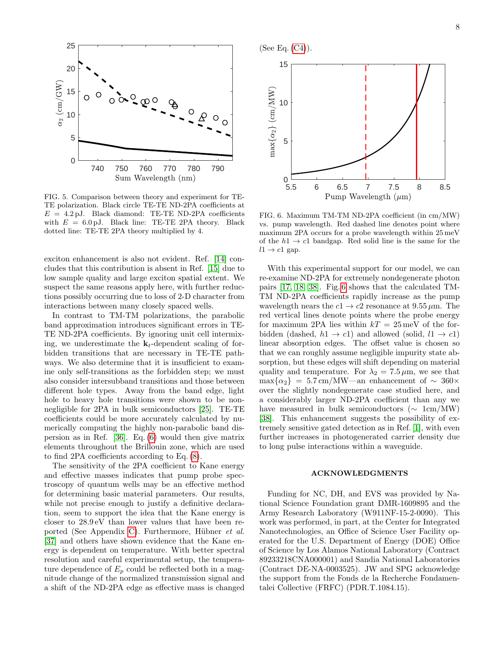

<span id="page-7-0"></span>FIG. 5. Comparison between theory and experiment for TE-TE polarization. Black circle TE-TE ND-2PA coefficients at  $E = 4.2 \text{ pJ}$ . Black diamond: TE-TE ND-2PA coefficients with  $E = 6.0 \text{ pJ}$ . Black line: TE-TE 2PA theory. Black dotted line: TE-TE 2PA theory multiplied by 4.

exciton enhancement is also not evident. Ref. [\[14\]](#page-12-11) concludes that this contribution is absent in Ref. [\[15\]](#page-12-12) due to low sample quality and large exciton spatial extent. We suspect the same reasons apply here, with further reductions possibly occurring due to loss of 2-D character from interactions between many closely spaced wells.

In contrast to TM-TM polarizations, the parabolic band approximation introduces significant errors in TE-TE ND-2PA coefficients. By ignoring unit cell intermixing, we underestimate the  $k_t$ -dependent scaling of forbidden transitions that are necessary in TE-TE pathways. We also determine that it is insufficient to examine only self-transitions as the forbidden step; we must also consider intersubband transitions and those between different hole types. Away from the band edge, light hole to heavy hole transitions were shown to be nonnegligible for 2PA in bulk semiconductors [\[25\]](#page-12-22). TE-TE coefficients could be more accurately calculated by numerically computing the highly non-parabolic band dispersion as in Ref. [\[36\]](#page-12-33). Eq. [\(6\)](#page-1-4) would then give matrix elements throughout the Brillouin zone, which are used to find 2PA coefficients according to Eq. [\(8\)](#page-1-6).

The sensitivity of the 2PA coefficient to Kane energy and effective masses indicates that pump probe spectroscopy of quantum wells may be an effective method for determining basic material parameters. Our results, while not precise enough to justify a definitive declaration, seem to support the idea that the Kane energy is closer to 28.9 eV than lower values that have been re-ported (See Appendix [C\)](#page-9-0). Furthermore, Hübner et al. [\[37\]](#page-12-34) and others have shown evidence that the Kane energy is dependent on temperature. With better spectral resolution and careful experimental setup, the temperature dependence of  $E_p$  could be reflected both in a magnitude change of the normalized transmission signal and a shift of the ND-2PA edge as effective mass is changed





<span id="page-7-1"></span>FIG. 6. Maximum TM-TM ND-2PA coefficient (in cm/MW) vs. pump wavelength. Red dashed line denotes point where maximum 2PA occurs for a probe wavelength within 25 meV of the  $h1 \rightarrow c1$  bandgap. Red solid line is the same for the  $l1 \rightarrow c1$  gap.

With this experimental support for our model, we can re-examine ND-2PA for extremely nondegenerate photon pairs [\[17,](#page-12-14) [18,](#page-12-15) [38\]](#page-12-35). Fig. [6](#page-7-1) shows that the calculated TM-TM ND-2PA coefficients rapidly increase as the pump wavelength nears the  $c1 \rightarrow c2$  resonance at  $9.55 \,\mu \text{m}$ . The red vertical lines denote points where the probe energy for maximum 2PA lies within  $kT = 25$  meV of the forbidden (dashed,  $h1 \rightarrow c1$ ) and allowed (solid,  $l1 \rightarrow c1$ ) linear absorption edges. The offset value is chosen so that we can roughly assume negligible impurity state absorption, but these edges will shift depending on material quality and temperature. For  $\lambda_2 = 7.5 \,\mu \text{m}$ , we see that  $\max\{\alpha_2\}$  = 5.7 cm/MW—an enhancement of ~ 360× over the slightly nondegenerate case studied here, and a considerably larger ND-2PA coefficient than any we have measured in bulk semiconductors ( $\sim 1 \text{cm}/\text{MW}$ ) [\[38\]](#page-12-35). This enhancement suggests the possibility of extremely sensitive gated detection as in Ref. [\[1\]](#page-12-0), with even further increases in photogenerated carrier density due to long pulse interactions within a waveguide.

## ACKNOWLEDGMENTS

Funding for NC, DH, and EVS was provided by National Science Foundation grant DMR-1609895 and the Army Research Laboratory (W911NF-15-2-0090). This work was performed, in part, at the Center for Integrated Nanotechnologies, an Office of Science User Facility operated for the U.S. Department of Energy (DOE) Office of Science by Los Alamos National Laboratory (Contract 89233218CNA000001) and Sandia National Laboratories (Contract DE-NA-0003525). JW and SPG acknowledge the support from the Fonds de la Recherche Fondamentalei Collective (FRFC) (PDR.T.1084.15).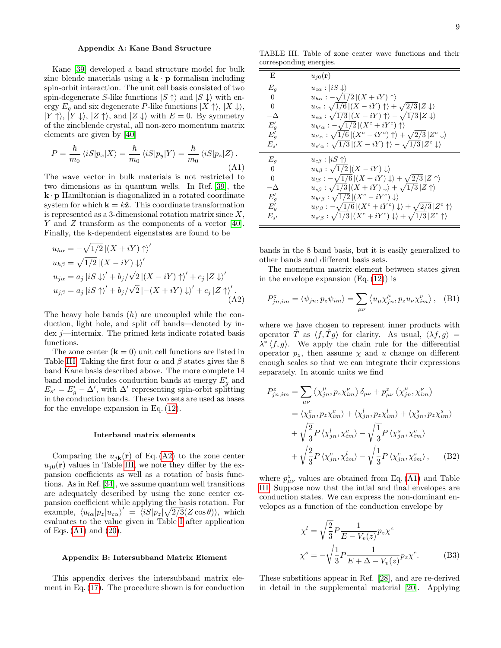# <span id="page-8-0"></span>Appendix A: Kane Band Structure

Kane [\[39\]](#page-12-36) developed a band structure model for bulk zinc blende materials using a  $\mathbf{k} \cdot \mathbf{p}$  formalism including spin-orbit interaction. The unit cell basis consisted of two spin-degenerate S-like functions  $|S \uparrow\rangle$  and  $|S \downarrow\rangle$  with energy  $E_g$  and six degenerate P-like functions  $|X \uparrow\rangle, |X \downarrow\rangle,$  $|Y \uparrow \rangle$ ,  $|Y \downarrow \rangle$ ,  $|Z \uparrow \rangle$ , and  $|Z \downarrow \rangle$  with  $E = 0$ . By symmetry of the zincblende crystal, all non-zero momentum matrix elements are given by [\[40\]](#page-12-37)

<span id="page-8-4"></span>
$$
P = \frac{\hbar}{m_0} \langle iS|p_x|X\rangle = \frac{\hbar}{m_0} \langle iS|p_y|Y\rangle = \frac{\hbar}{m_0} \langle iS|p_z|Z\rangle.
$$
\n(A1)

The wave vector in bulk materials is not restricted to two dimensions as in quantum wells. In Ref. [\[39\]](#page-12-36), the  $\mathbf{k} \cdot \mathbf{p}$  Hamiltonian is diagonalized in a rotated coordinate system for which  $\mathbf{k} = k\hat{\mathbf{z}}$ . This coordinate transformation is represented as a 3-dimensional rotation matrix since  $X$ , Y and Z transform as the components of a vector [\[40\]](#page-12-37). Finally, the k-dependent eigenstates are found to be

$$
u_{h\alpha} = -\sqrt{1/2} |(X + iY) \uparrow \rangle'
$$
  
\n
$$
u_{h\beta} = \sqrt{1/2} |(X - iY) \downarrow \rangle'
$$
  
\n
$$
u_{j\alpha} = a_j |iS \downarrow \rangle' + b_j/\sqrt{2} |(X - iY) \uparrow \rangle' + c_j |Z \downarrow \rangle'
$$
  
\n
$$
u_{j\beta} = a_j |iS \uparrow \rangle' + b_j/\sqrt{2} |-(X + iY) \downarrow \rangle' + c_j |Z \uparrow \rangle'.
$$
  
\n(A2)

The heavy hole bands  $(h)$  are uncoupled while the conduction, light hole, and split off bands—denoted by index  $j$ —intermix. The primed kets indicate rotated basis functions.

The zone center  $(k = 0)$  unit cell functions are listed in Table [III.](#page-8-2) Taking the first four  $\alpha$  and  $\beta$  states gives the 8 band Kane basis described above. The more complete 14 band model includes conduction bands at energy  $E'_{g}$  and  $E_{s'} = E'_{g} - \Delta'$ , with  $\Delta'$  representing spin-orbit splitting in the conduction bands. These two sets are used as bases for the envelope expansion in Eq. [\(12\)](#page-2-3).

#### Interband matrix elements

Comparing the  $u_{j\mathbf{k}}(\mathbf{r})$  of Eq. [\(A2\)](#page-8-3) to the zone center  $u_{i0}(\mathbf{r})$  values in Table [III,](#page-8-2) we note they differ by the expansion coefficients as well as a rotation of basis functions. As in Ref. [\[34\]](#page-12-31), we assume quantum well transitions are adequately described by using the zone center expansion coefficient while applying the basis rotation. For example,  $\langle u_{l\alpha} | p_z | u_{c\alpha} \rangle' = \langle i \dot{S} | p_z | \sqrt{2/3} (Z \cos \theta) \rangle$ , which evaluates to the value given in Table [I](#page-5-0) after application of Eqs.  $(A1)$  and  $(20)$ .

#### <span id="page-8-1"></span>Appendix B: Intersubband Matrix Element

This appendix derives the intersubband matrix element in Eq. [\(17\)](#page-3-3). The procedure shown is for conduction

<span id="page-8-2"></span>TABLE III. Table of zone center wave functions and their corresponding energies.

| E              | $u_{i0}({\bf r})$                                                                                                             |
|----------------|-------------------------------------------------------------------------------------------------------------------------------|
| E <sub>g</sub> | $u_{c\alpha}:  iS\downarrow\rangle$                                                                                           |
| 0              | $u_{h\alpha}$ : $-\sqrt{1/2}$ $ (X+iY)\uparrow\rangle$                                                                        |
| $\theta$       | $u_{l\alpha}$ : $\sqrt{1/6}$ $\left \left(X - iY\right) \uparrow\right\rangle + \sqrt{2/3}$ $\left Z \downarrow\right\rangle$ |
| $-\Delta$      | $u_{s\alpha}$ : $\sqrt{1/3}$ $ (X - iY) \uparrow\rangle - \sqrt{1/3}  Z \downarrow\rangle$                                    |
| $E_q'$         | $u_{h'\alpha}: -\sqrt{1/2} \left  \left( X^c + iY^c \right) \uparrow \right\rangle$                                           |
| $E_q'$         | $u_{l'\alpha}$ : $\sqrt{1/6}$ $ (X^c - iY^c) \uparrow \rangle + \sqrt{2/3}$ $ Z^c \downarrow \rangle$                         |
| $E_{s'}$       | $u_{s'\alpha}: \sqrt{1/3} \left \left(X - iY\right)\uparrow\right> - \sqrt{1/3} \left Z^c\downarrow\right>$                   |
| $E_q$          | $u_{c\beta}:  iS \uparrow\rangle$                                                                                             |
| 0              | $u_{h\beta}$ : $\sqrt{1/2}$ $ (X - iY) \downarrow\rangle$                                                                     |
| $\theta$       | $u_{l\beta}$ : $-\sqrt{1/6}$ $\left \left(X+iY\right)\downarrow\right\rangle + \sqrt{2/3}$ $\left Z\uparrow\right\rangle$     |
| $-\Delta$      | $u_{s\beta}$ : $\sqrt{1/3}$ $ (X+iY)\downarrow\rangle + \sqrt{1/3} Z\uparrow\rangle$                                          |
| $E'_{g}$       | $u_{h'\beta}: \sqrt{1/2}\left \left(X^c - iY^c\right)\right \downarrow$                                                       |
| $E_q'$         | $u_{l'\beta}: -\sqrt{1/6} \left  (X^c + iY^c) \right  \downarrow \rangle + \sqrt{2/3} \left  Z^c \right  \uparrow \rangle$    |
| $E_{s'}$       | $u_{s'\beta}$ : $\sqrt{1/3}$ $ (X^c+iY^c)\downarrow\rangle + \sqrt{1/3}$ $ Z^c\uparrow\rangle$                                |

bands in the 8 band basis, but it is easily generalized to other bands and different basis sets.

<span id="page-8-3"></span>The momentum matrix element between states given in the envelope expansion  $(Eq. (12))$  $(Eq. (12))$  $(Eq. (12))$  is

$$
P_{jn,im}^{z} = \langle \psi_{jn}, p_{z} \psi_{im} \rangle = \sum_{\mu\nu} \langle u_{\mu} \chi_{jn}^{\mu}, p_{z} u_{\nu} \chi_{im}^{\nu} \rangle, \quad \text{(B1)}
$$

where we have chosen to represent inner products with operator  $\hat{T}$  as  $\langle f, \hat{T} g \rangle$  for clarity. As usual,  $\langle \lambda f, g \rangle =$  $\lambda^* \langle f, g \rangle$ . We apply the chain rule for the differential operator  $p_z$ , then assume  $\chi$  and u change on different enough scales so that we can integrate their expressions separately. In atomic units we find

$$
P_{jn,im}^{z} = \sum_{\mu\nu} \langle \chi_{jn}^{\mu}, p_{z} \chi_{im}^{\nu} \rangle \delta_{\mu\nu} + p_{\mu\nu}^{z} \langle \chi_{jn}^{\mu}, \chi_{im}^{\nu} \rangle
$$
  

$$
= \langle \chi_{jn}^{c}, p_{z} \chi_{im}^{c} \rangle + \langle \chi_{jn}^{l}, p_{z} \chi_{im}^{l} \rangle + \langle \chi_{jn}^{s}, p_{z} \chi_{im}^{s} \rangle
$$
  

$$
+ \sqrt{\frac{2}{3}} P \langle \chi_{jn}^{l}, \chi_{im}^{c} \rangle - \sqrt{\frac{1}{3}} P \langle \chi_{jn}^{s}, \chi_{im}^{c} \rangle
$$
  

$$
+ \sqrt{\frac{2}{3}} P \langle \chi_{jn}^{c}, \chi_{im}^{l} \rangle - \sqrt{\frac{1}{3}} P \langle \chi_{jn}^{c}, \chi_{im}^{s} \rangle, \qquad (B2)
$$

where  $p^z_{\mu\nu}$  values are obtained from Eq. [\(A1\)](#page-8-4) and Table [III.](#page-8-2) Suppose now that the intial and final envelopes are conduction states. We can express the non-dominant envelopes as a function of the conduction envelope by

<span id="page-8-6"></span><span id="page-8-5"></span>
$$
\chi^{l} = \sqrt{\frac{2}{3}} P \frac{1}{E - V_{v}(z)} p_{z} \chi^{c}
$$

$$
\chi^{s} = -\sqrt{\frac{1}{3}} P \frac{1}{E + \Delta - V_{v}(z)} p_{z} \chi^{c}.
$$
(B3)

These substitions appear in Ref. [\[28\]](#page-12-25), and are re-derived in detail in the supplemental material [\[20\]](#page-12-17). Applying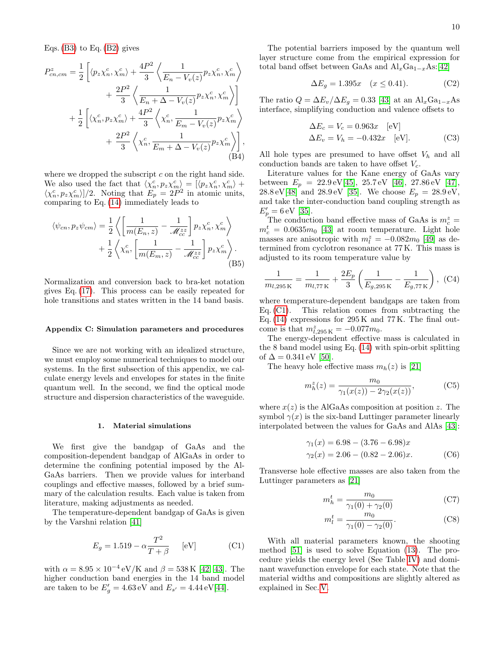Eqs.  $(B3)$  to Eq.  $(B2)$  gives

$$
P_{cn,cm}^{z} = \frac{1}{2} \left[ \langle p_z \chi_n^c, \chi_m^c \rangle + \frac{4P^2}{3} \left\langle \frac{1}{E_n - V_v(z)} p_z \chi_n^c, \chi_m^c \right\rangle \right. \\ \left. + \frac{2P^2}{3} \left\langle \frac{1}{E_n + \Delta - V_v(z)} p_z \chi_n^c, \chi_m^c \right\rangle \right] \\ + \frac{1}{2} \left[ \langle \chi_n^c, p_z \chi_m^c \rangle + \frac{4P^2}{3} \left\langle \chi_n^c, \frac{1}{E_m - V_v(z)} p_z \chi_m^c \right\rangle \right. \\ \left. + \frac{2P^2}{3} \left\langle \chi_n^c, \frac{1}{E_m + \Delta - V_v(z)} p_z \chi_m^c \right\rangle \right], \tag{B4}
$$

where we dropped the subscript  $c$  on the right hand side. We also used the fact that  $\langle \chi_n^c, p_z \chi_m^c \rangle = [\langle p_z \chi_n^c, \chi_m^c \rangle +$  $\langle \chi_n^c, p_z \chi_m^c \rangle / 2$ . Noting that  $E_p = 2P^2$  in atomic units, comparing to Eq. [\(14\)](#page-3-0) immediately leads to

$$
\langle \psi_{cn}, p_z \psi_{cm} \rangle = \frac{1}{2} \left\langle \left[ \frac{1}{m(E_n, z)} - \frac{1}{\mathcal{M}_{cc}^{zz}} \right] p_z \chi_n^c, \chi_m^c \right\rangle + \frac{1}{2} \left\langle \chi_n^c, \left[ \frac{1}{m(E_m, z)} - \frac{1}{\mathcal{M}_{cc}^{zz}} \right] p_z \chi_m^c \right\rangle.
$$
\n(B5)

Normalization and conversion back to bra-ket notation gives Eq. [\(17\)](#page-3-3). This process can be easily repeated for hole transitions and states written in the 14 band basis.

## <span id="page-9-0"></span>Appendix C: Simulation parameters and procedures

Since we are not working with an idealized structure, we must employ some numerical techniques to model our systems. In the first subsection of this appendix, we calculate energy levels and envelopes for states in the finite quantum well. In the second, we find the optical mode structure and dispersion characteristics of the waveguide.

#### 1. Material simulations

We first give the bandgap of GaAs and the composition-dependent bandgap of AlGaAs in order to determine the confining potential imposed by the Al-GaAs barriers. Then we provide values for interband couplings and effective masses, followed by a brief summary of the calculation results. Each value is taken from literature, making adjustments as needed.

The temperature-dependent bandgap of GaAs is given by the Varshni relation [\[41\]](#page-12-38)

<span id="page-9-2"></span>
$$
E_g = 1.519 - \alpha \frac{T^2}{T + \beta} \qquad \text{[eV]} \tag{C1}
$$

with  $\alpha = 8.95 \times 10^{-4} \text{ eV/K}$  and  $\beta = 538 \text{ K}$  [\[42,](#page-12-39) [43\]](#page-12-40). The higher conduction band energies in the 14 band model are taken to be  $E'_{g} = 4.63 \,\text{eV}$  and  $E_{s'} = 4.44 \,\text{eV}[44]$  $E_{s'} = 4.44 \,\text{eV}[44]$ .

The potential barriers imposed by the quantum well layer structure come from the empirical expression for total band offset between GaAs and  $\text{Al}_x\text{Ga}_{1-x}\text{As}:$ [\[42\]](#page-12-39)

$$
\Delta E_g = 1.395x \quad (x \le 0.41). \tag{C2}
$$

The ratio  $Q = \Delta E_v / \Delta E_q = 0.33$  [\[43\]](#page-12-40) at an Al<sub>x</sub>Ga<sub>1-x</sub>As interface, simplifying conduction and valence offsets to

$$
\Delta E_c = V_c = 0.963x \quad \text{[eV]}
$$
  

$$
\Delta E_v = V_h = -0.432x \quad \text{[eV]}.
$$
 (C3)

All hole types are presumed to have offset  $V_h$  and all conduction bands are taken to have offset  $V_c$ .

Literature values for the Kane energy of GaAs vary between  $E_p = 22.9 \,\text{eV}[45]$  $E_p = 22.9 \,\text{eV}[45]$ ,  $25.7 \,\text{eV}$  [\[46\]](#page-12-43),  $27.86 \,\text{eV}$  [\[47\]](#page-12-44), 28.8 eV[\[48\]](#page-12-45) and 28.9 eV [\[35\]](#page-12-32). We choose  $E_p = 28.9 \text{ eV}$ , and take the inter-conduction band coupling strength as  $E'_p = 6 \,\text{eV}$  [\[35\]](#page-12-32).

The conduction band effective mass of GaAs is  $m_c^z =$  $m_c^t = 0.0635m_0$  [\[43\]](#page-12-40) at room temperature. Light hole masses are anisotropic with  $m_l^z = -0.082m_0$  [\[49\]](#page-12-46) as determined from cyclotron resonance at 77 K. This mass is adjusted to its room temperature value by

<span id="page-9-1"></span>
$$
\frac{1}{m_{l,295\,\mathrm{K}}} = \frac{1}{m_{l,77\,\mathrm{K}}} + \frac{2E_p}{3} \left( \frac{1}{E_{g,295\,\mathrm{K}}} - \frac{1}{E_{g,77\,\mathrm{K}}} \right), \tag{C4}
$$

where temperature-dependent bandgaps are taken from Eq. [\(C1\)](#page-9-2). This relation comes from subtracting the Eq.  $(14)$  expressions for 295 K and 77 K. The final outcome is that  $m_{l,295\,\text{K}}^z = -0.077m_0$ .

The energy-dependent effective mass is calculated in the 8 band model using Eq. [\(14\)](#page-3-0) with spin-orbit splitting of  $\Delta = 0.341 \,\text{eV}$  [\[50\]](#page-12-47).

The heavy hole effective mass  $m_h(z)$  is [\[21\]](#page-12-18)

 $\boldsymbol{\eta}$ 

$$
n_h^z(z) = \frac{m_0}{\gamma_1(x(z)) - 2\gamma_2(x(z))},
$$
 (C5)

where  $x(z)$  is the AlGaAs composition at position z. The symbol  $\gamma(x)$  is the six-band Luttinger parameter linearly interpolated between the values for GaAs and AlAs [\[43\]](#page-12-40):

$$
\gamma_1(x) = 6.98 - (3.76 - 6.98)x
$$
  
\n
$$
\gamma_2(x) = 2.06 - (0.82 - 2.06)x.
$$
 (C6)

Transverse hole effective masses are also taken from the Luttinger parameters as [\[21\]](#page-12-18)

$$
m_h^t = \frac{m_0}{\gamma_1(0) + \gamma_2(0)}\tag{C7}
$$

$$
m_l^t = \frac{m_0}{\gamma_1(0) - \gamma_2(0)}.\tag{C8}
$$

With all material parameters known, the shooting method [\[51\]](#page-12-48) is used to solve Equation [\(13\)](#page-3-2). The procedure yields the energy level (See Table [IV\)](#page-10-1) and dominant wavefunction envelope for each state. Note that the material widths and compositions are slightly altered as explained in Sec. [V.](#page-6-0)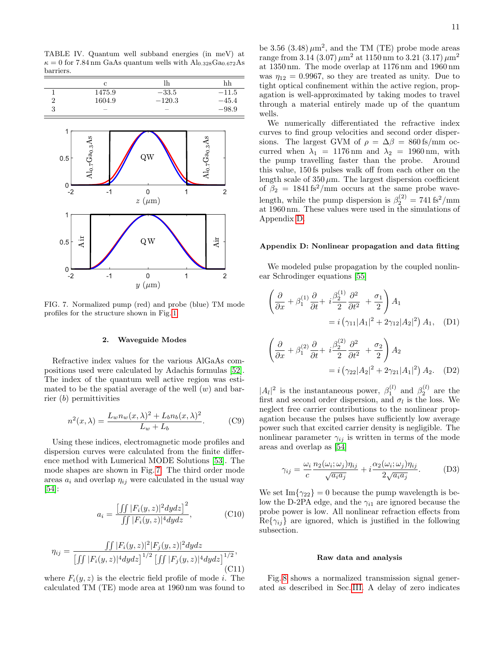<span id="page-10-1"></span>TABLE IV. Quantum well subband energies (in meV) at  $\kappa = 0$  for 7.84 nm GaAs quantum wells with  $\text{Al}_{0.328}\text{Ga}_{0.672}\text{As}$ barriers.

| с                        | h        | hh      |
|--------------------------|----------|---------|
| 1475.9                   | $-33.5$  | $-11.5$ |
| 1604.9                   | $-120.3$ | $-45.4$ |
| $\overline{\phantom{a}}$ |          | $-98.9$ |



<span id="page-10-2"></span>FIG. 7. Normalized pump (red) and probe (blue) TM mode profiles for the structure shown in Fig. [1.](#page-2-1)

## 2. Waveguide Modes

Refractive index values for the various AlGaAs compositions used were calculated by Adachis formulas [\[52\]](#page-12-49). The index of the quantum well active region was estimated to be the spatial average of the well  $(w)$  and barrier (b) permittivities

<span id="page-10-5"></span>
$$
n^{2}(x,\lambda) = \frac{L_{w}n_{w}(x,\lambda)^{2} + L_{b}n_{b}(x,\lambda)^{2}}{L_{w} + L_{b}}.
$$
 (C9)

Using these indices, electromagnetic mode profiles and dispersion curves were calculated from the finite difference method with Lumerical MODE Solutions [\[53\]](#page-12-50). The mode shapes are shown in Fig. [7.](#page-10-2) The third order mode areas  $a_i$  and overlap  $\eta_{ij}$  were calculated in the usual way [\[54\]](#page-12-51):

$$
a_i = \frac{\left[\int\int |F_i(y,z)|^2 dydz\right]^2}{\int\int |F_i(y,z)|^4 dydz},
$$
\n(C10)

$$
\eta_{ij} = \frac{\iint |F_i(y, z)|^2 |F_j(y, z)|^2 dy dz}{\left[\iint |F_i(y, z)|^4 dy dz\right]^{1/2} \left[\iint |F_j(y, z)|^4 dy dz\right]^{1/2}},\tag{C11}
$$

where  $F_i(y, z)$  is the electric field profile of mode *i*. The calculated TM (TE) mode area at 1960 nm was found to

be 3.56  $(3.48)\,\mu\text{m}^2$ , and the TM (TE) probe mode areas range from 3.14 (3.07)  $\mu$ m<sup>2</sup> at 1150 nm to 3.21 (3.17)  $\mu$ m<sup>2</sup> at 1350 nm. The mode overlap at 1176 nm and 1960 nm was  $\eta_{12} = 0.9967$ , so they are treated as unity. Due to tight optical confinement within the active region, propagation is well-approximated by taking modes to travel through a material entirely made up of the quantum wells.

We numerically differentiated the refractive index curves to find group velocities and second order dispersions. The largest GVM of  $\rho = \Delta \beta = 860 \text{ fs/mm}$  occurred when  $\lambda_1 = 1176$  nm and  $\lambda_2 = 1960$  nm, with the pump travelling faster than the probe. Around this value, 150 fs pulses walk off from each other on the length scale of  $350 \mu m$ . The largest dispersion coefficient of  $\beta_2 = 1841 \text{ fs}^2/\text{mm}$  occurs at the same probe wavelength, while the pump dispersion is  $\beta_2^{(2)} = 741 \text{ fs}^2/\text{mm}$ at 1960 nm. These values were used in the simulations of Appendix [D.](#page-10-0)

## <span id="page-10-0"></span>Appendix D: Nonlinear propagation and data fitting

We modeled pulse propagation by the coupled nonlinear Schrodinger equations [\[55\]](#page-12-52)

<span id="page-10-3"></span>
$$
\left(\frac{\partial}{\partial x} + \beta_1^{(1)} \frac{\partial}{\partial t} + i \frac{\beta_2^{(1)}}{2} \frac{\partial^2}{\partial t^2} + \frac{\sigma_1}{2}\right) A_1
$$
  
=  $i \left(\gamma_{11}|A_1|^2 + 2\gamma_{12}|A_2|^2\right) A_1$ , (D1)

<span id="page-10-4"></span>
$$
\left(\frac{\partial}{\partial x} + \beta_1^{(2)} \frac{\partial}{\partial t} + i \frac{\beta_2^{(2)}}{2} \frac{\partial^2}{\partial t^2} + \frac{\sigma_2}{2}\right) A_2
$$

$$
= i \left(\gamma_{22} |A_2|^2 + 2\gamma_{21} |A_1|^2\right) A_2. \quad (D2)
$$

 $|A_l|^2$  is the instantaneous power,  $\beta_1^{(l)}$  and  $\beta_2^{(l)}$  are the first and second order dispersion, and  $\sigma_l$  is the loss. We neglect free carrier contributions to the nonlinear propagation because the pulses have sufficiently low average power such that excited carrier density is negligible. The nonlinear parameter  $\gamma_{ij}$  is written in terms of the mode areas and overlap as [\[54\]](#page-12-51)

$$
\gamma_{ij} = \frac{\omega_i}{c} \frac{n_2(\omega_i; \omega_j)\eta_{ij}}{\sqrt{a_i a_j}} + i \frac{\alpha_2(\omega_i; \omega_j)\eta_{ij}}{2\sqrt{a_i a_j}}.
$$
 (D3)

We set  $\text{Im}\{\gamma_{22}\}=0$  because the pump wavelength is below the D-2PA edge, and the  $\gamma_{i1}$  are ignored because the probe power is low. All nonlinear refraction effects from  $\text{Re}\{\gamma_{ij}\}\$ are ignored, which is justified in the following subsection.

## Raw data and analysis

Fig. [8](#page-11-1) shows a normalized transmission signal generated as described in Sec. [III.](#page-1-1) A delay of zero indicates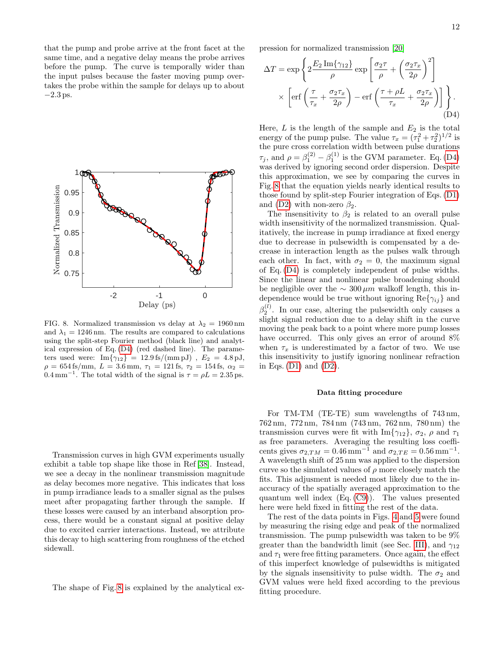that the pump and probe arrive at the front facet at the same time, and a negative delay means the probe arrives before the pump. The curve is temporally wider than the input pulses because the faster moving pump overtakes the probe within the sample for delays up to about  $-2.3$  ps.



<span id="page-11-1"></span>FIG. 8. Normalized transmission vs delay at  $\lambda_2 = 1960 \text{ nm}$ and  $\lambda_1 = 1246$  nm. The results are compared to calculations using the split-step Fourier method (black line) and analytical expression of Eq. [\(D4\)](#page-11-2) (red dashed line). The parameters used were:  $Im\{\gamma_{12}\} = 12.9 \text{ fs/(mm pJ)}$ ,  $E_2 = 4.8 \text{ pJ}$ ,  $\rho = 654 \text{ fs/mm}, L = 3.6 \text{ mm}, \tau_1 = 121 \text{ fs}, \tau_2 = 154 \text{ fs}, \alpha_2 =$  $0.4 \,\mathrm{mm}^{-1}$ . The total width of the signal is  $\tau = \rho L = 2.35 \,\mathrm{ps}$ .

Transmission curves in high GVM experiments usually exhibit a table top shape like those in Ref [\[38\]](#page-12-35). Instead, we see a decay in the nonlinear transmission magnitude as delay becomes more negative. This indicates that loss in pump irradiance leads to a smaller signal as the pulses meet after propagating farther through the sample. If these losses were caused by an interband absorption process, there would be a constant signal at positive delay due to excited carrier interactions. Instead, we attribute this decay to high scattering from roughness of the etched sidewall.

The shape of Fig. [8](#page-11-1) is explained by the analytical ex-

pression for normalized transmission [\[20\]](#page-12-17)

$$
\Delta T = \exp\left\{2\frac{E_2 \operatorname{Im}\{\gamma_{12}\}}{\rho} \exp\left[\frac{\sigma_2 \tau}{\rho} + \left(\frac{\sigma_2 \tau_x}{2\rho}\right)^2\right] \times \left[\operatorname{erf}\left(\frac{\tau}{\tau_x} + \frac{\sigma_2 \tau_x}{2\rho}\right) - \operatorname{erf}\left(\frac{\tau + \rho L}{\tau_x} + \frac{\sigma_2 \tau_x}{2\rho}\right)\right]\right\}.
$$
\n(D4)

<span id="page-11-2"></span>Here,  $L$  is the length of the sample and  $E_2$  is the total energy of the pump pulse. The value  $\tau_x = (\tau_1^2 + \tau_2^2)^{1/2}$  is the pure cross correlation width between pulse durations  $\tau_j$ , and  $\rho = \beta_1^{(2)} - \beta_1^{(1)}$  is the GVM parameter. Eq. [\(D4\)](#page-11-2) was derived by ignoring second order dispersion. Despite this approximation, we see by comparing the curves in Fig. [8](#page-11-1) that the equation yields nearly identical results to those found by split-step Fourier integration of Eqs. [\(D1\)](#page-10-3) and [\(D2\)](#page-10-4) with non-zero  $\beta_2$ .

The insensitivity to  $\beta_2$  is related to an overall pulse width insensitivity of the normalized transmission. Qualitatively, the increase in pump irradiance at fixed energy due to decrease in pulsewidth is compensated by a decrease in interaction length as the pulses walk through each other. In fact, with  $\sigma_2 = 0$ , the maximum signal of Eq. [\(D4\)](#page-11-2) is completely independent of pulse widths. Since the linear and nonlinear pulse broadening should be negligible over the  $\sim 300 \,\mu m$  walkoff length, this independence would be true without ignoring  $\text{Re}\{\gamma_{ij}\}\$  and  $\beta_2^{(l)}$ . In our case, altering the pulsewidth only causes a slight signal reduction due to a delay shift in the curve moving the peak back to a point where more pump losses have occurred. This only gives an error of around  $8\%$ when  $\tau_x$  is underestimated by a factor of two. We use this insensitivity to justify ignoring nonlinear refraction in Eqs.  $(D1)$  and  $(D2)$ .

#### <span id="page-11-0"></span>Data fitting procedure

For TM-TM (TE-TE) sum wavelengths of 743 nm, 762 nm, 772 nm, 784 nm (743 nm, 762 nm, 780 nm) the transmission curves were fit with Im $\{\gamma_{12}\}, \sigma_2, \rho$  and  $\tau_1$ as free parameters. Averaging the resulting loss coefficents gives  $\sigma_{2,TM} = 0.46 \,\text{mm}^{-1}$  and  $\sigma_{2,TE} = 0.56 \,\text{mm}^{-1}$ . A wavelength shift of 25 nm was applied to the dispersion curve so the simulated values of  $\rho$  more closely match the fits. This adjusment is needed most likely due to the inaccuracy of the spatially averaged approximation to the quantum well index (Eq. [\(C9\)](#page-10-5)). The values presented here were held fixed in fitting the rest of the data.

The rest of the data points in Figs. [4](#page-6-2) and [5](#page-7-0) were found by measuring the rising edge and peak of the normalized transmission. The pump pulsewidth was taken to be 9% greater than the bandwidth limit (see Sec. [III\)](#page-1-1), and  $\gamma_{12}$ and  $\tau_1$  were free fitting parameters. Once again, the effect of this imperfect knowledge of pulsewidths is mitigated by the signals insensitivity to pulse width. The  $\sigma_2$  and GVM values were held fixed according to the previous fitting procedure.